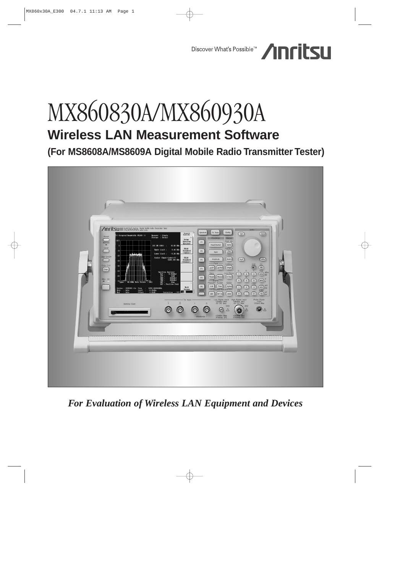

# MX860830A/MX860930A **Wireless LAN Measurement Software**

**(For MS8608A/MS8609A Digital Mobile Radio Transmitter Tester)**



*For Evaluation of Wireless LAN Equipment and Devices*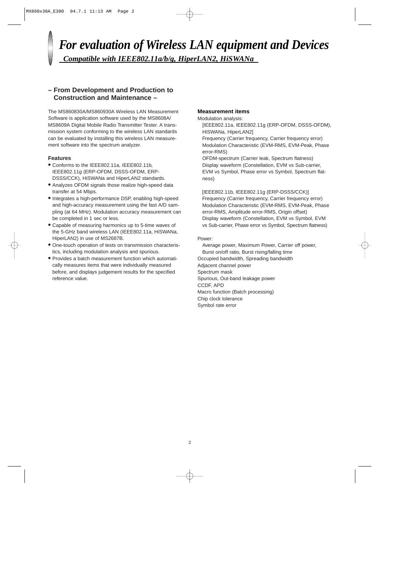## *For evaluation of Wireless LAN equipment and Devices Compatible with IEEE802.11a/b/g, HiperLAN2, HiSWANa*

## **– From Development and Production to Construction and Maintenance –**

The MS860830A/MS860930A Wireless LAN Measurement Software is application software used by the MS8608A/ MS8609A Digital Mobile Radio Transmitter Tester. A transmission system conforming to the wireless LAN standards can be evaluated by installing this wireless LAN measurement software into the spectrum analyzer.

## **Features**

- **•** Conforms to the IEEE802.11a, IEEE802.11b, IEEE802.11g (ERP-OFDM, DSSS-OFDM, ERP-DSSS/CCK), HiSWANa and HiperLAN2 standards.
- **•** Analyzes OFDM signals those realize high-speed data transfer at 54 Mbps.
- **•** Integrates a high-performance DSP, enabling high-speed and high-accuracy measurement using the fast A/D sampling (at 64 MHz). Modulation accuracy measurement can be completed in 1 sec or less.
- **•** Capable of measuring harmonics up to 5-time waves of the 5-GHz band wireless LAN (IEEE802.11a, HiSWANa, HiperLAN2) in use of MS2687B.
- **•** One-touch operation of tests on transmission characteristics, including modulation analysis and spurious.
- **•** Provides a batch measurement function which automatically measures items that were individually measured before, and displays judgement results for the specified reference value.

## **Measurement items**

Modulation analysis:

[IEEE802.11a, IEEE802.11g (ERP-OFDM, DSSS-OFDM), HiSWANa, HiperLAN2]

Frequency (Carrier frequency, Carrier frequency error) Modulation Characteristic (EVM-RMS, EVM-Peak, Phase error-RMS)

OFDM-spectrum (Carrier leak, Spectrum flatness) Display waveform (Constellation, EVM vs Sub-carrier, EVM vs Symbol, Phase error vs Symbol, Spectrum flatness)

[IEEE802.11b, IEEE802.11g (ERP-DSSS/CCK)] Frequency (Carrier frequency, Carrier frequency error) Modulation Characteristic (EVM-RMS, EVM-Peak, Phase error-RMS, Amplitude error-RMS, Origin offset) Display waveform (Constellation, EVM vs Symbol, EVM vs Sub-carrier, Phase error vs Symbol, Spectrum flatness)

Power:

Average power, Maximum Power, Carrier off power, Burst on/off ratio, Burst rising/falling time Occupied bandwidth, Spreading bandwidth Adjacent channel power Spectrum mask Spurious, Out-band leakage power CCDF, APD Macro function (Batch processing) Chip clock tolerance Symbol rate error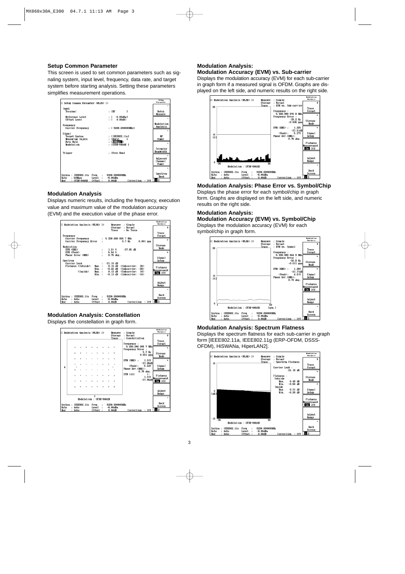## **Setup Common Parameter**

This screen is used to set common parameters such as signaling system, input level, frequency, data rate, and target system before starting analysis. Setting these parameters simplifies measurement operations.



## **Modulation Analysis**

Displays numeric results, including the frequency, execution value and maximum value of the modulation accuracy (EVM) and the execution value of the phase error.



## **Modulation Analysis: Constellation**

Displays the constellation in graph form.



## **Modulation Analysis: Modulation Accuracy (EVM) vs. Sub-carrier**

Displays the modulation accuracy (EVM) for each sub-carrier in graph form if a measured signal is OFDM. Graphs are displayed on the left side, and numeric results on the right side.



**Modulation Analysis: Phase Error vs. Symbol/Chip** Displays the phase error for each symbol/chip in graph form. Graphs are displayed on the left side, and numeric results on the right side.

## **Modulation Analysis:**

**Modulation Accuracy (EVM) vs. Symbol/Chip** Displays the modulation accuracy (EVM) for each symbol/chip in graph form.



#### **Modulation Analysis: Spectrum Flatness**

Displays the spectrum flatness for each sub-carrier in graph form [IEEE802.11a, IEEE802.11g (ERP-OFDM, DSSS-OFDM), HiSWANa, HiperLAN2].

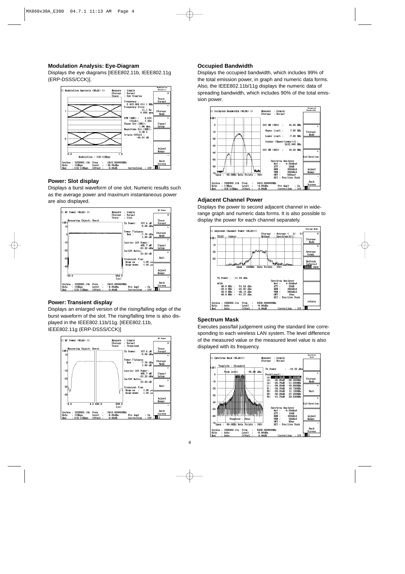## **Modulation Analysis: Eye-Diagram**

Displays the eye diagrams [IEEE802.11b, IEEE802.11g (ERP-DSSS/CCK)].



## **Power: Slot display**

Displays a burst waveform of one slot. Numeric results such as the average power and maximum instantaneous power are also displayed.



#### **Power: Transient display**

Displays an enlarged version of the rising/falling edge of the burst waveform of the slot. The rising/falling time is also displayed in the IEEE802.11b/11g. [IEEE802.11b, IEEE802.11g (ERP-DSSS/CCK)]



## **Occupied Bandwidth**

Displays the occupied bandwidth, which includes 99% of the total emission power, in graph and numeric data forms. Also, the IEEE802.11b/11g displays the numeric data of spreading bandwidth, which includes 90% of the total emission power.



#### **Adjacent Channel Power**

Displays the power to second adjacent channel in widerange graph and numeric data forms. It is also possible to display the power for each channel separately.



#### **Spectrum Mask**

Executes pass/fail judgement using the standard line corresponding to each wireless LAN system. The level difference of the measured value or the measured level value is also displayed with its frequency.

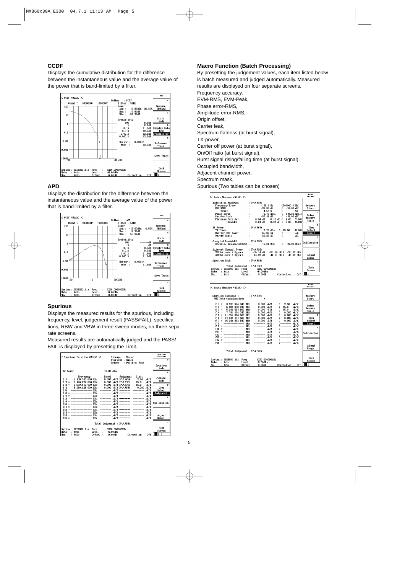## **CCDF**

Displays the cumulative distribution for the difference between the instantaneous value and the average value of the power that is band-limited by a filter.



## **APD**

Displays the distribution for the difference between the instantaneous value and the average value of the power that is band-limited by a filter.



## **Spurious**

Displays the measured results for the spurious, including frequency, level, judgement result (PASS/FAIL), specifications, RBW and VBW in three sweep modes, on three separate screens.

Measured results are automatically judged and the PASS/ FAIL is displayed by presetting the Limit.



## **Macro Function (Batch Processing)**

By presetting the judgement values, each item listed below is batch measured and judged automatically. Measured results are displayed on four separate screens. Frequency accuracy, EVM-RMS, EVM-Peak, Phase error-RMS, Amplitude error-RMS, Origin offset, Carrier leak, Spectrum flatness (at burst signal), TX-power, Carrier off power (at burst signal), On/Off ratio (at burst signal), Burst signal rising/falling time (at burst signal), Occupied bandwidth, Adjacent channel power, Spectrum mask, Spurious (Two tables can be chosen)



| K< Batch Measure (WLAN) >>                                                                                                                                                                                                                                                                                                                                                                                                                                                                                                                                                                                                                                                                                                                                                                                                                                                                                                                                                                                                                                                                                                | Ratch<br>Heasure                                                                                                       |
|---------------------------------------------------------------------------------------------------------------------------------------------------------------------------------------------------------------------------------------------------------------------------------------------------------------------------------------------------------------------------------------------------------------------------------------------------------------------------------------------------------------------------------------------------------------------------------------------------------------------------------------------------------------------------------------------------------------------------------------------------------------------------------------------------------------------------------------------------------------------------------------------------------------------------------------------------------------------------------------------------------------------------------------------------------------------------------------------------------------------------|------------------------------------------------------------------------------------------------------------------------|
| Spurious Emission 1 : PASS<br>(5G Data Comm: Spurious<br>, W/M)<br>$f 1 = 3236.984340$ MHz :<br>$0.000$ $\frac{W}{M}$<br>(2.50)<br>$f$ 2 = 5 091.928 840 MHz :<br>$0.000$ $\frac{1}{2}$ $\frac{1}{2}$<br>15.0<br>wW/M)<br>$f$ 3 = 5 281.593 860 MHz :<br>$0.000$ $\frac{1}{2}$ /M<br>$\epsilon$<br>$15.0$ $\frac{1}{2}$ $\frac{1}{2}$<br>$f$ 4 = 7 744.154 240 MHz :<br>$0.000 \frac{1}{2}$<br>(0.200 M/M)<br>$(0.000)$ $\frac{1}{2}$ (M/M)<br>$f 5 = 11757.926500 MHz$ :<br>$0.000 \,$ , W/M<br>$($ 0.000 $\mu$ W/M)<br>$f 6 = 14841.154500 MHz$ :<br>$0.000~\mu$ W/M<br>$f$ 7 = 16 244.813 840 MHz : 0.000 MV/M<br>$0.000$ $\sqrt{M/M}$ )<br>C<br>MHz : -------- wV/M<br>(--------- 四/值)<br>----------------<br>$f R =$<br>----------------<br>MHz : -------- 或/M<br>$f.9 =$<br>---------------<br>MHz: -------- wW/M<br>$f10 =$<br>= --------------- MHz : -------- 成//M<br>(一--------- 则/值)<br>f11<br>$f12 =$ ------------------<br>(--------- 则/值)<br>MHz : -------- wV/M<br>$f13 =$ -------------------<br>MHz : --------- rV/M<br>(-------- 咸/值)<br>f14 = ---------------- MHz : -------- $M/Z$<br>(--------- 戒/M) | Measure<br>Start.<br>a.<br>Setup<br>Measure<br>Table<br>\$.<br>View<br>Select<br>Page 2<br>$\mathbf{x}$<br>Calibration |
| $f15 =$ ---------------- $MBz$ : -------- $M/Z$<br>Total Judgement : PASS                                                                                                                                                                                                                                                                                                                                                                                                                                                                                                                                                                                                                                                                                                                                                                                                                                                                                                                                                                                                                                                 | Adjust<br>Range<br>Back                                                                                                |
| System: IEEE802.11a Freq : 5230.000000MHz<br>Rate<br><b>Level</b><br>$-6.00dBa$<br>: Auto<br>t.<br>$:$ Off<br>Offset<br>0.00dB<br>Correction<br>Mod<br>: Auto                                                                                                                                                                                                                                                                                                                                                                                                                                                                                                                                                                                                                                                                                                                                                                                                                                                                                                                                                             | Screen<br>12                                                                                                           |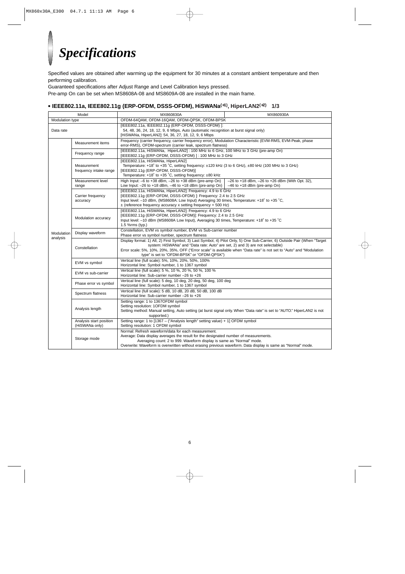## *Specifications*

Specified values are obtained after warming up the equipment for 30 minutes at a constant ambient temperature and then performing calibration.

Guaranteed specifications after Adjust Range and Level Calibration keys pressed.

Pre-amp On can be set when MS8608A-08 and MS8609A-08 are installed in the main frame.

## **• IEEE802.11a, IEEE802.11g (ERP-OFDM, DSSS-OFDM), HiSWANa(**∗**1), HiperLAN2(**∗**2) 1/3**

|                                                                                                                                                                                                                | Model                                     | MX860830A                                                                                                                                                                                                                                                                                                                                                                          | MX860930A                                                                             |
|----------------------------------------------------------------------------------------------------------------------------------------------------------------------------------------------------------------|-------------------------------------------|------------------------------------------------------------------------------------------------------------------------------------------------------------------------------------------------------------------------------------------------------------------------------------------------------------------------------------------------------------------------------------|---------------------------------------------------------------------------------------|
| Modulation type                                                                                                                                                                                                |                                           | OFDM-64QAM, OFDM-16QAM, OFDM-QPSK, OFDM-BPSK                                                                                                                                                                                                                                                                                                                                       |                                                                                       |
| [IEEE802.11a, IEEE802.11g (ERP-OFDM, DSSS-OFDM) ]:<br>54, 48, 36, 24, 18, 12, 9, 6 Mbps, Auto (automatic recognition at burst signal only)<br>Data rate<br>[HiSWANa, HiperLAN2]: 54, 36, 27, 18, 12, 9, 6 Mbps |                                           |                                                                                                                                                                                                                                                                                                                                                                                    |                                                                                       |
|                                                                                                                                                                                                                | Measurement items                         | Frequency (carrier frequency, carrier frequency error), Modulation Characteristic (EVM-RMS, EVM-Peak, phase<br>error-RMS), OFDM-spectrum (carrier leak, spectrum flatness)                                                                                                                                                                                                         |                                                                                       |
|                                                                                                                                                                                                                | Frequency range                           | [IEEE802.11a, HiSWANa, HiperLAN2]: 100 MHz to 6 GHz, 100 MHz to 3 GHz (pre-amp On)<br>[IEEE802.11g (ERP-OFDM, DSSS-OFDM)]: 100 MHz to 3 GHz                                                                                                                                                                                                                                        |                                                                                       |
|                                                                                                                                                                                                                | Measurement<br>frequency intake range     | [IEEE802.11a, HiSWANa, HiperLAN2]<br>Temperature: +18° to +35 °C, setting frequency: ±120 kHz (3 to 6 GHz), ±80 kHz (100 MHz to 3 GHz)<br>[IEEE802.11g (ERP-OFDM, DSSS-OFDM)]<br>Temperature: +18° to +35 °C, setting frequency: ±80 kHz                                                                                                                                           |                                                                                       |
|                                                                                                                                                                                                                | Measurement level<br>range                | High Input: $-6$ to $+38$ dBm, $-26$ to $+38$ dBm (pre-amp On)<br>Low Input: $-26$ to $+18$ dBm, $-46$ to $+18$ dBm (pre-amp On)                                                                                                                                                                                                                                                   | $-26$ to +18 dBm, $-26$ to +26 dBm (With Opt. 32),<br>$-46$ to $+18$ dBm (pre-amp On) |
|                                                                                                                                                                                                                | Carrier frequency<br>accuracy             | [IEEE802.11a, HiSWANa, HiperLAN2]: Frequency: 4.9 to 6 GHz<br>[IEEE802.11g (ERP-OFDM, DSSS-OFDM)]: Frequency: 2.4 to 2.5 GHz<br>Input level: -10 dBm, (MS8608A: Low Input) Averaging 30 times, Temperature: +18° to +35 °C,<br>$\pm$ (reference frequency accuracy x setting frequency + 500 Hz)                                                                                   |                                                                                       |
|                                                                                                                                                                                                                | Modulation accuracy                       | [IEEE802.11a, HiSWANa, HiperLAN2]: Frequency: 4.9 to 6 GHz<br>[IEEE802.11q (ERP-OFDM, DSSS-OFDM)]: Frequency: 2.4 to 2.5 GHz<br>Input level: -10 dBm (MS8608A Low Input), Averaging 30 times, Temperature: +18° to +35 °C<br>1.5 %rms (typ.)                                                                                                                                       |                                                                                       |
| Modulation<br>analysis                                                                                                                                                                                         | Display waveform                          | Constellation, EVM vs symbol number, EVM vs Sub-carrier number<br>Phase error vs symbol number, spectrum flatness                                                                                                                                                                                                                                                                  |                                                                                       |
|                                                                                                                                                                                                                | Constellation                             | Display format: 1) All, 2) First Symbol, 3) Last Symbol, 4) Pilot Only, 5) One Sub-Carrier, 6) Outside Pair (When "Target<br>system: HiSWANa" and "Data rate: Auto" are set, 2) and 3) are not selectable)<br>Error scale: 5%, 10%, 20%, 35%, OFF ("Error scale" is available when "Data rate" is not set to "Auto" and "Modulation<br>type" is set to "OFDM-BPSK" or "OFDM-QPSK") |                                                                                       |
|                                                                                                                                                                                                                | EVM vs symbol                             | Vertical line (full scale): 5%, 10%, 20%, 50%, 100%<br>Horizontal line: Symbol number, 1 to 1367 symbol                                                                                                                                                                                                                                                                            |                                                                                       |
|                                                                                                                                                                                                                | EVM vs sub-carrier                        | Vertical line (full scale): 5 %, 10 %, 20 %, 50 %, 100 %<br>Horizontal line: Sub-carrier number -26 to +26                                                                                                                                                                                                                                                                         |                                                                                       |
|                                                                                                                                                                                                                | Phase error vs symbol                     | Vertical line (full scale): 5 deg, 10 deg, 20 deg, 50 deg, 100 deg<br>Horizontal line: Symbol number, 1 to 1367 symbol                                                                                                                                                                                                                                                             |                                                                                       |
|                                                                                                                                                                                                                | Spectrum flatness                         | Vertical line (full scale): 5 dB, 10 dB, 20 dB, 50 dB, 100 dB<br>Horizontal line: Sub-carrier number -26 to +26                                                                                                                                                                                                                                                                    |                                                                                       |
|                                                                                                                                                                                                                | Analysis length                           | Setting range: 1 to 1367OFDM symbol<br>Setting resolution: 1OFDM symbol<br>Setting method: Manual setting, Auto setting (at burst signal only. When "Data rate" is set to "AUTO." HiperLAN2 is not<br>supported.)                                                                                                                                                                  |                                                                                       |
|                                                                                                                                                                                                                | Analysis start position<br>(HiSWANa only) | Setting range: 1 to [1367 – ("Analysis length" setting value) + 1] OFDM symbol<br>Setting resolution: 1 OFDM symbol                                                                                                                                                                                                                                                                |                                                                                       |
|                                                                                                                                                                                                                | Storage mode                              | Normal: Refresh waveform/data for each measurement.<br>Average: Data display averages the result for the designated number of measurements.<br>Averaging count: 2 to 999. Waveform display is same as "Normal" mode.<br>Overwrite: Waveform is overwritten without erasing previous waveform. Data display is same as "Normal" mode.                                               |                                                                                       |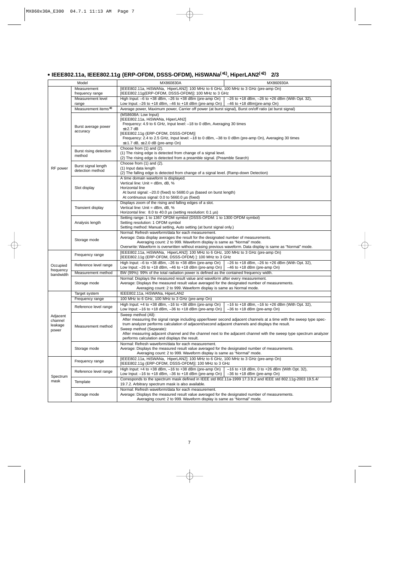## **• IEEE802.11a, IEEE802.11g (ERP-OFDM, DSSS-OFDM), HiSWANa(**∗**1), HiperLAN2(**∗**2) 2/3**

|                                         | Model                                   | MX860830A<br>MX860930A                                                                                                                                                                                                                                                                                                                                                                                                                             |  |  |
|-----------------------------------------|-----------------------------------------|----------------------------------------------------------------------------------------------------------------------------------------------------------------------------------------------------------------------------------------------------------------------------------------------------------------------------------------------------------------------------------------------------------------------------------------------------|--|--|
|                                         | Measurement                             | [IEEE802.11a, HiSWANa, HiperLAN2]: 100 MHz to 6 GHz, 100 MHz to 3 GHz (pre-amp On)                                                                                                                                                                                                                                                                                                                                                                 |  |  |
|                                         | frequency range                         | [IEEE802.11g(ERP-OFDM, DSSS-OFDM)]: 100 MHz to 3 GHz                                                                                                                                                                                                                                                                                                                                                                                               |  |  |
|                                         | Measurement level<br>range              | High Input: $-6$ to $+38$ dBm, $-26$ to $+38$ dBm (pre-amp On)<br>$-26$ to $+18$ dBm, $-26$ to $+26$ dBm (With Opt. 32),<br>Low Input: $-26$ to $+18$ dBm, $-46$ to $+18$ dBm (pre-amp On)<br>$-46$ to $+18$ dBm(pre-amp On)                                                                                                                                                                                                                       |  |  |
|                                         | Measurement items*3                     | Average power, Maximum power, Carrier off power (at burst signal), Burst on/off ratio (at burst signal)                                                                                                                                                                                                                                                                                                                                            |  |  |
|                                         | Burst average power<br>accuracy         | (MS8608A: Low Input)<br>[IEEE802.11a, HiSWANa, HiperLAN2]<br>Frequency: 4.9 to 6 GHz, Input level: -18 to 0 dBm, Averaging 30 times<br>$\leq \pm 2.7$ dB<br>[IEEE802.11g (ERP-OFDM, DSSS-OFDM)]<br>Frequency: 2.4 to 2.5 GHz, Input level: -18 to 0 dBm, -38 to 0 dBm (pre-amp On), Averaging 30 times<br>$\leq \pm 1.7$ dB, $\leq \pm 2.0$ dB (pre-amp On)                                                                                        |  |  |
|                                         | Burst rising detection<br>method        | Choose from (1) and (2).<br>(1) The rising edge is detected from change of a signal level.<br>(2) The rising edge is detected from a preamble signal. (Preamble Search)                                                                                                                                                                                                                                                                            |  |  |
| RF power                                | Burst signal length<br>detection method | Choose from (1) and (2).<br>(1) Input data length<br>(2) The falling edge is detected from change of a signal level. (Ramp-down Detection)                                                                                                                                                                                                                                                                                                         |  |  |
|                                         | Slot display                            | A time domain waveform is displayed.<br>Vertical line: Unit = dBm, dB, %<br>Horizontal line<br>At burst signal: -20.0 (fixed) to 5680.0 µs (based on burst length)<br>At continuous signal: 0.0 to 5660.0 µs (fixed)                                                                                                                                                                                                                               |  |  |
|                                         | <b>Transient display</b>                | Displays zoom of the rising and falling edges of a slot.<br>Vertical line: Unit = dBm, dB, %<br>Horizontal line: 8.0 to 40.0 µs (setting resolution: 0.1 µs)                                                                                                                                                                                                                                                                                       |  |  |
|                                         | Analysis length                         | Setting range: 1 to 1367 OFDM symbol (DSSS-OFDM: 1 to 1300 OFDM symbol)<br>Setting resolution: 1 OFDM symbol<br>Setting method: Manual setting, Auto setting (at burst signal only.)                                                                                                                                                                                                                                                               |  |  |
|                                         | Storage mode                            | Normal: Refresh waveform/data for each measurement.<br>Average: Data display averages the result for the designated number of measurements.<br>Averaging count: 2 to 999. Waveform display is same as "Normal" mode.<br>Overwrite: Waveform is overwritten without erasing previous waveform. Data display is same as "Normal" mode.                                                                                                               |  |  |
|                                         | Frequency range                         | [IEEE802.11a, HiSWANa, HiperLAN2]: 100 MHz to 6 GHz, 100 MHz to 3 GHz (pre-amp On)<br>[IEEE802.11g (ERP-OFDM, DSSS-OFDM) ]: 100 MHz to 3 GHz                                                                                                                                                                                                                                                                                                       |  |  |
| Occupied<br>frequency                   | Reference level range                   | High Input: $-6$ to $+38$ dBm, $-26$ to $+38$ dBm (pre-amp On)<br>$-26$ to $+18$ dBm, $-26$ to $+26$ dBm (With Opt. 32),<br>Low Input: $-26$ to $+18$ dBm, $-46$ to $+18$ dBm (pre-amp On)<br>$-46$ to $+18$ dBm (pre-amp On)                                                                                                                                                                                                                      |  |  |
| bandwidth                               | Measurement method                      | BW (99%): 99% of the total radiation power is defined as the contained frequency width.                                                                                                                                                                                                                                                                                                                                                            |  |  |
|                                         | Storage mode                            | Normal: Displays the measured result value and waveform after every measurement.<br>Average: Displays the measured result value averaged for the designated number of measurements.<br>Averaging count: 2 to 999. Waveform display is same as Normal mode.                                                                                                                                                                                         |  |  |
|                                         | Target system                           | IEEE802.11a, HiSWANa, HiperLAN2                                                                                                                                                                                                                                                                                                                                                                                                                    |  |  |
|                                         | Frequency range                         | 100 MHz to 6 GHz, 100 MHz to 3 GHz (pre-amp On)                                                                                                                                                                                                                                                                                                                                                                                                    |  |  |
|                                         | Reference level range                   | High Input: $+4$ to $+38$ dBm, $-16$ to $+38$ dBm (pre-amp On)<br>$-16$ to $+18$ dBm, $-16$ to $+26$ dBm (With Opt. 32),<br>Low Input: $-16$ to $+18$ dBm, $-36$ to $+18$ dBm (pre-amp On)<br>$-36$ to $+18$ dBm (pre-amp On)                                                                                                                                                                                                                      |  |  |
| Adjacent<br>channel<br>leakage<br>power | Measurement method                      | Sweep method (All):<br>After measuring the signal range including upper/lower second adjacent channels at a time with the sweep type spec-<br>trum analyzer performs calculation of adjacent/second adjacent channels and displays the result.<br>Sweep method (Separate):<br>After measuring adjacent channel and the channel next to the adjacent channel with the sweep type spectrum analyzer<br>performs calculation and displays the result. |  |  |
|                                         | Storage mode                            | Normal: Refresh waveform/data for each measurement.<br>Average: Displays the measured result value averaged for the designated number of measurements.<br>Averaging count: 2 to 999. Waveform display is same as "Normal" mode.                                                                                                                                                                                                                    |  |  |
|                                         | Frequency range                         | [IEEE802.11a, HiSWANa, HiperLAN2]: 100 MHz to 6 GHz, 100 MHz to 3 GHz (pre-amp On)<br>[IEEE802.11g (ERP-OFDM, DSSS-OFDM)]: 100 MHz to 3 GHz                                                                                                                                                                                                                                                                                                        |  |  |
|                                         | Reference level range                   | High Input: $+4$ to $+38$ dBm, $-16$ to $+38$ dBm (pre-amp On)<br>$-16$ to $+18$ dBm, 0 to $+26$ dBm (With Opt. 32),<br>Low Input: $-16$ to $+18$ dBm, $-36$ to $+18$ dBm (pre-amp On)<br>$-36$ to $+18$ dBm (pre-amp On)                                                                                                                                                                                                                          |  |  |
| Spectrum<br>mask                        | Template                                | Corresponds to the spectrum mask defined in IEEE std 802.11a-1999 17.3.9.2 and IEEE std 802.11g-2003 19.5.4/<br>19.7.2. Arbitrary spectrum mask is also available.                                                                                                                                                                                                                                                                                 |  |  |
|                                         | Storage mode                            | Normal: Refresh waveform/data for each measurement.<br>Average: Displays the measured result value averaged for the designated number of measurements.<br>Averaging count: 2 to 999. Waveform display is same as "Normal" mode.                                                                                                                                                                                                                    |  |  |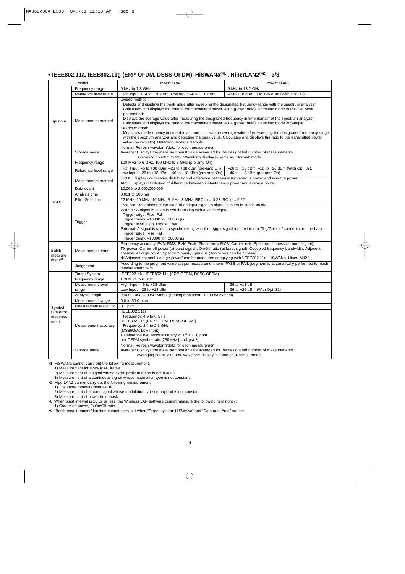## **• IEEE802.11a, IEEE802.11g (ERP-OFDM, DSSS-OFDM), HiSWANa(**∗**1), HiperLAN2(**∗**2) 3/3**

|                                                                                                                                                       | Model                   | MX860830A                                                                                                                                                                                                                                                                                                                                                                                                                                                                                                                                                                                                                                                                                                                                                                                                        | MX860930A                                                                                 |  |
|-------------------------------------------------------------------------------------------------------------------------------------------------------|-------------------------|------------------------------------------------------------------------------------------------------------------------------------------------------------------------------------------------------------------------------------------------------------------------------------------------------------------------------------------------------------------------------------------------------------------------------------------------------------------------------------------------------------------------------------------------------------------------------------------------------------------------------------------------------------------------------------------------------------------------------------------------------------------------------------------------------------------|-------------------------------------------------------------------------------------------|--|
| Spurious                                                                                                                                              | Frequency range         | 9 kHz to 7.8 GHz                                                                                                                                                                                                                                                                                                                                                                                                                                                                                                                                                                                                                                                                                                                                                                                                 | 9 kHz to 13.2 GHz                                                                         |  |
|                                                                                                                                                       | Reference level range   | High Input: +14 to +38 dBm, Low Input: -6 to +18 dBm                                                                                                                                                                                                                                                                                                                                                                                                                                                                                                                                                                                                                                                                                                                                                             | $-6$ to $+18$ dBm, 0 to $+26$ dBm (With Opt. 32)                                          |  |
|                                                                                                                                                       | Measurement method      | Sweep method:<br>Detects and displays the peak value after sweeping the designated frequency range with the spectrum analyzer.<br>Calculates and displays the ratio to the transmitted power value (power ratio). Detection mode is Positive peak.<br>Spot method:<br>Displays the average value after measuring the designated frequency in time domain of the spectrum analyzer.<br>Calculates and displays the ratio to the transmitted power value (power ratio). Detection mode is Sample.<br>Search method:<br>Measures the frequency in time domain and displays the average value after sweeping the designated frequency range<br>with the spectrum analyzer and detecting the peak value. Calculates and displays the ratio to the transmitted power<br>value (power ratio). Detection mode is Sample. |                                                                                           |  |
|                                                                                                                                                       | Storage mode            | Normal: Refresh waveform/data for each measurement.<br>Average: Displays the measured result value averaged for the designated number of measurements.<br>Averaging count: 2 to 999. Waveform display is same as "Normal" mode.                                                                                                                                                                                                                                                                                                                                                                                                                                                                                                                                                                                  |                                                                                           |  |
|                                                                                                                                                       | Frequency range         | 100 MHz to 6 GHz, 100 MHz to 3 GHz (pre-amp On)                                                                                                                                                                                                                                                                                                                                                                                                                                                                                                                                                                                                                                                                                                                                                                  |                                                                                           |  |
|                                                                                                                                                       | Reference level range   | High Input: $-6$ to $+38$ dBm, $-26$ to $+38$ dBm (pre-amp On)<br>Low Input: $-26$ to $+18$ dBm, $-46$ to $+18$ dBm (pre-amp On)                                                                                                                                                                                                                                                                                                                                                                                                                                                                                                                                                                                                                                                                                 | $-26$ to $+18$ dBm, $-18$ to $+26$ dBm (With Opt. 32),<br>$-46$ to $+18$ dBm (pre-amp On) |  |
|                                                                                                                                                       | Measurement method      | CCDF: Displays cumulative distribution of difference between instantaneous power and average power.<br>APD: Displays distribution of difference between instantaneous power and average power.                                                                                                                                                                                                                                                                                                                                                                                                                                                                                                                                                                                                                   |                                                                                           |  |
|                                                                                                                                                       | Data count              | 10,000 to 2,000,000,000                                                                                                                                                                                                                                                                                                                                                                                                                                                                                                                                                                                                                                                                                                                                                                                          |                                                                                           |  |
|                                                                                                                                                       | Analysis time           | 0.001 to 100 ms<br>22 MHz, 20 MHz, 10 MHz, 5 MHz, 3 MHz, RRC: $\alpha$ = 0.22, RC: $\alpha$ = 0.22                                                                                                                                                                                                                                                                                                                                                                                                                                                                                                                                                                                                                                                                                                               |                                                                                           |  |
| <b>CCDF</b>                                                                                                                                           | <b>Filter Selection</b> |                                                                                                                                                                                                                                                                                                                                                                                                                                                                                                                                                                                                                                                                                                                                                                                                                  |                                                                                           |  |
|                                                                                                                                                       | Trigger                 | Free run: Regardless of the state of an input signal, a signal is taken in continuously.<br>Wide IF: A signal is taken in synchronizing with a video signal.<br>Trigger edge: Rise, Fall<br>Trigger delay: $-10000$ to $+10000$ µs<br>Trigger level: High, Middle, Low<br>External: A signal is taken in synchronizing with the trigger signal inputted into a "Trig/Gate In" connector on the back.<br>Trigger edge: Rise, Fall<br>Trigger delay: $-10000$ to $+10000$ µs                                                                                                                                                                                                                                                                                                                                       |                                                                                           |  |
| Batch<br>measure-<br>$ment^*4$                                                                                                                        | Measurement items       | Frequency accuracy, EVM-RMS, EVM-Peak, Phase error-RMS, Carrier leak, Spectrum flatness (at burst signal),<br>TX-power, Carrier off power (at burst signal), On/Off ratio (at burst signal), Occupied frequency bandwidth, Adjacent<br>channel leakage power, Spectrum mask, Spurious (Two tables can be chosen)<br>* "Adjacent channel leakage power" can be measured complying with "IEEE802.11a, HiSWANa, HiperLAN2."                                                                                                                                                                                                                                                                                                                                                                                         |                                                                                           |  |
| According to the judgment value set per measurement item, PASS or FAIL judgment is automatically performed for each<br>Judgement<br>measurement item. |                         |                                                                                                                                                                                                                                                                                                                                                                                                                                                                                                                                                                                                                                                                                                                                                                                                                  |                                                                                           |  |
|                                                                                                                                                       | <b>Target System</b>    | IEEE802.11a, IEEE802.11g (ERP-OFDM, DSSS-OFDM)                                                                                                                                                                                                                                                                                                                                                                                                                                                                                                                                                                                                                                                                                                                                                                   |                                                                                           |  |
|                                                                                                                                                       | Frequency range         | 100 MHz to 6 GHz                                                                                                                                                                                                                                                                                                                                                                                                                                                                                                                                                                                                                                                                                                                                                                                                 |                                                                                           |  |
|                                                                                                                                                       | Measurement level       | High Input: -6 to +38 dBm,                                                                                                                                                                                                                                                                                                                                                                                                                                                                                                                                                                                                                                                                                                                                                                                       | $-26$ to $+18$ dBm,                                                                       |  |
|                                                                                                                                                       | range                   | Low Input: $-26$ to $+18$ dBm                                                                                                                                                                                                                                                                                                                                                                                                                                                                                                                                                                                                                                                                                                                                                                                    | $-26$ to $+26$ dBm (With Opt. 32)                                                         |  |
|                                                                                                                                                       | Analysis length         | 250 to 1000 OFDM symbol (Setting resolution: 1 OFDM symbol)                                                                                                                                                                                                                                                                                                                                                                                                                                                                                                                                                                                                                                                                                                                                                      |                                                                                           |  |
|                                                                                                                                                       | Measurement range       | 0.0 to 50.0 ppm                                                                                                                                                                                                                                                                                                                                                                                                                                                                                                                                                                                                                                                                                                                                                                                                  |                                                                                           |  |
| Symbol                                                                                                                                                | Measurement resolution  | $0.1$ ppm                                                                                                                                                                                                                                                                                                                                                                                                                                                                                                                                                                                                                                                                                                                                                                                                        |                                                                                           |  |
| rate error<br>measure-<br>ment                                                                                                                        | Measurement accuracy    | [IEEE802.11a]<br>Frequency: 4.9 to 6 GHz<br>[IEEE802.11g (ERP-OFDM, DSSS-OFDM)]<br>Frequency: 2.4 to 2.5 GHz<br>(MS8608A: Low Input)<br>$\pm$ (reference frequency accuracy x 10 <sup>6</sup> + 1.0) ppm<br>per OFDM symbol rate (250 kHz $[ = (4 \mu s)^{-1} ]$ ).                                                                                                                                                                                                                                                                                                                                                                                                                                                                                                                                              |                                                                                           |  |
|                                                                                                                                                       | Storage mode            | Normal: Refresh waveform/data for each measurement.<br>Average: Displays the measured result value averaged for the designated number of measurements.<br>Averaging count: 2 to 999. Waveform display is same as "Normal" mode.                                                                                                                                                                                                                                                                                                                                                                                                                                                                                                                                                                                  |                                                                                           |  |

∗1: HiSWANa cannot carry out the following measurement.

1) Measurement for every MAC frame

2) Measurement of a signal whose cyclic prefix duration is not 800 ns

3) Measurement of a continuous signal whose modulation type is not constant.

∗2: HiperLAN2 cannot carry out the following measurement.

1) The same measurement as '∗1'.

2) Measurement of a burst signal whose modulation type on payload is not constant.

3) Measurement of power time mask.

∗3: When burst interval is 20 µs or less, the Wireless LAN software cannot measure the following item rightly:

1) Carrier off power, 2) On/Off ratio.

∗4: "Batch measurement" function cannot carry out when "Target system: HiSWANa" and "Data rate: Auto" are set.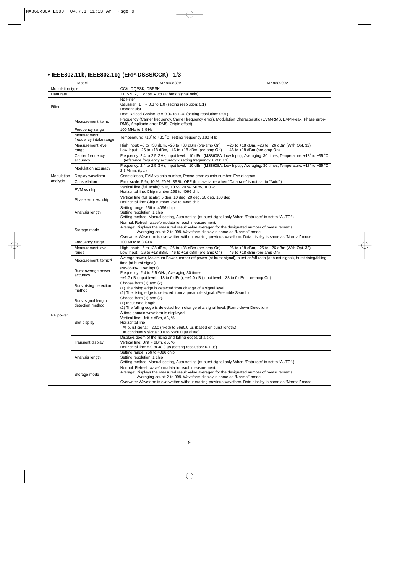## **• IEEE802.11b, IEEE802.11g (ERP-DSSS/CCK) 1/3**

|                                                              | Model                                   | MX860830A                                                                                                                                                                                                                                                                                                                                       | MX860930A                                                                                                              |
|--------------------------------------------------------------|-----------------------------------------|-------------------------------------------------------------------------------------------------------------------------------------------------------------------------------------------------------------------------------------------------------------------------------------------------------------------------------------------------|------------------------------------------------------------------------------------------------------------------------|
| Modulation type                                              |                                         | CCK, DQPSK, DBPSK                                                                                                                                                                                                                                                                                                                               |                                                                                                                        |
| 11, 5.5, 2, 1 Mbps, Auto (at burst signal only)<br>Data rate |                                         |                                                                                                                                                                                                                                                                                                                                                 |                                                                                                                        |
| Filter                                                       |                                         | No Filter<br>Gaussian $BT = 0.3$ to 1.0 (setting resolution: 0.1)<br>Rectangular<br>Root Raised Cosine $\alpha = 0.30$ to 1.00 (setting resolution: 0.01)                                                                                                                                                                                       |                                                                                                                        |
|                                                              | Measurement items                       | Frequency (Carrier frequency, Carrier frequency error), Modulation Characteristic (EVM-RMS, EVM-Peak, Phase error-<br>RMS, Amplitude error-RMS, Origin offset)                                                                                                                                                                                  |                                                                                                                        |
|                                                              | Frequency range                         | 100 MHz to 3 GHz                                                                                                                                                                                                                                                                                                                                |                                                                                                                        |
|                                                              | Measurement<br>frequency intake range   | Temperature: $+18^{\circ}$ to $+35^{\circ}$ C, setting frequency $\pm 80$ kHz                                                                                                                                                                                                                                                                   |                                                                                                                        |
|                                                              | Measurement level<br>range              | High Input: $-6$ to $+38$ dBm, $-26$ to $+38$ dBm (pre-amp On)<br>Low Input: $-26$ to +18 dBm, $-46$ to +18 dBm (pre-amp On) $-46$ to +18 dBm (pre-amp On)                                                                                                                                                                                      | $-26$ to $+18$ dBm, $-26$ to $+26$ dBm (With Opt. 32),                                                                 |
|                                                              | Carrier frequency<br>accuracy           | $\pm$ (reference frequency accuracy x setting frequency + 200 Hz)                                                                                                                                                                                                                                                                               | Frequency: 2.4 to 2.5 GHz, Input level: -10 dBm (MS8608A: Low Input), Averaging: 30 times, Temperature: +18° to +35 °C |
|                                                              | Modulation accuracy                     | 2.3 %rms (typ.)                                                                                                                                                                                                                                                                                                                                 | Frequency: 2.4 to 2.5 GHz, Input level: -10 dBm (MS8608A: Low Input), Averaging: 30 times, Temperature: +18° to +35 °C |
| Modulation                                                   | Display waveform                        | Constellation, EVM vs chip number, Phase error vs chip number, Eye-diagram                                                                                                                                                                                                                                                                      |                                                                                                                        |
| analysis                                                     | Constellation                           | Error scale: 5 %, 10 %, 20 %, 35 %, OFF (It is available when "Data rate" is not set to "Auto".)                                                                                                                                                                                                                                                |                                                                                                                        |
|                                                              | EVM vs chip                             | Vertical line (full scale): 5 %, 10 %, 20 %, 50 %, 100 %<br>Horizontal line: Chip number 256 to 4096 chip                                                                                                                                                                                                                                       |                                                                                                                        |
|                                                              | Phase error vs. chip                    | Vertical line (full scale): 5 deg, 10 deg, 20 deg, 50 deg, 100 deg<br>Horizontal line: Chip number 256 to 4096 chip                                                                                                                                                                                                                             |                                                                                                                        |
|                                                              | Analysis length                         | Setting range: 256 to 4096 chip<br>Setting resolution: 1 chip<br>Setting method: Manual setting, Auto setting (at burst signal only. When "Data rate" is set to "AUTO.")                                                                                                                                                                        |                                                                                                                        |
|                                                              | Storage mode                            | Normal: Refresh waveform/data for each measurement.<br>Average: Displays the measured result value averaged for the designated number of measurements.<br>Averaging count: 2 to 999. Waveform display is same as "Normal" mode.<br>Overwrite: Waveform is overwritten without erasing previous waveform. Data display is same as "Normal" mode. |                                                                                                                        |
|                                                              | Frequency range                         | 100 MHz to 3 GHz                                                                                                                                                                                                                                                                                                                                |                                                                                                                        |
|                                                              | Measurement level<br>range              | High Input: $-6$ to $+38$ dBm, $-26$ to $+38$ dBm (pre-amp On),<br>Low Input: $-26$ to $+18$ dBm, $-46$ to $+18$ dBm (pre-amp On)                                                                                                                                                                                                               | $-26$ to $+18$ dBm, $-26$ to $+26$ dBm (With Opt. 32),<br>$-46$ to $+18$ dBm (pre-amp On)                              |
|                                                              | Measurement items*1                     | Average power, Maximum Power, carrier off power (at burst signal), burst on/off ratio (at burst signal), burst rising/falling<br>time (at burst signal)                                                                                                                                                                                         |                                                                                                                        |
|                                                              | Burst average power<br>accuracy         | (MS8608A: Low input)<br>Frequency: 2.4 to 2.5 GHz, Averaging 30 times<br>≤±1.7 dB (Input level: -18 to 0 dBm), ≤±2.0 dB (Input level: -38 to 0 dBm, pre-amp On)                                                                                                                                                                                 |                                                                                                                        |
|                                                              | Burst rising detection<br>method        | Choose from (1) and (2).<br>(1) The rising edge is detected from change of a signal level.<br>(2) The rising edge is detected from a preamble signal. (Preamble Search)                                                                                                                                                                         |                                                                                                                        |
|                                                              | Burst signal length<br>detection method | Choose from (1) and (2).<br>(1) Input data length<br>(2) The falling edge is detected from change of a signal level. (Ramp-down Detection)                                                                                                                                                                                                      |                                                                                                                        |
| RF power                                                     | Slot display                            | A time domain waveform is displayed.<br>Vertical line: Unit = dBm, dB, %<br>Horizontal line<br>At burst signal: -20.0 (fixed) to 5680.0 µs (based on burst length.)<br>At continuous signal: 0.0 to 5660.0 µs (fixed)                                                                                                                           |                                                                                                                        |
|                                                              | Transient display                       | Displays zoom of the rising and falling edges of a slot.<br>Vertical line: Unit = dBm, dB, %<br>Horizontal line: 8.0 to 40.0 µs (setting resolution: 0.1 µs)                                                                                                                                                                                    |                                                                                                                        |
|                                                              | Analysis length                         | Setting range: 256 to 4096 chip<br>Setting resolution: 1 chip<br>Setting method: Manual setting, Auto setting (at burst signal only. When "Data rate" is set to "AUTO".)                                                                                                                                                                        |                                                                                                                        |
|                                                              | Storage mode                            | Normal: Refresh waveform/data for each measurement.<br>Average: Displays the measured result value averaged for the designated number of measurements.<br>Averaging count: 2 to 999. Waveform display is same as "Normal" mode.<br>Overwrite: Waveform is overwritten without erasing previous waveform. Data display is same as "Normal" mode. |                                                                                                                        |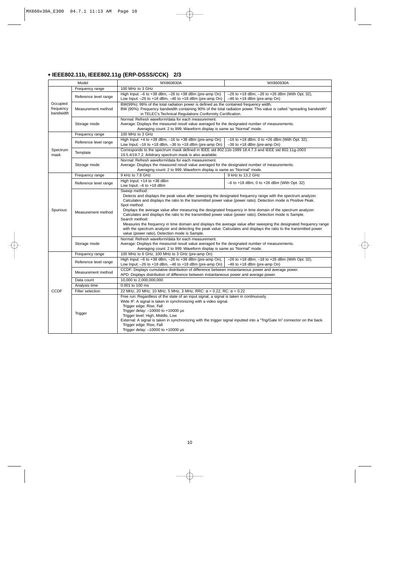## **• IEEE802.11b, IEEE802.11g (ERP-DSSS/CCK) 2/3**

| Model                              |                                                                    | MX860830A                                                                                                                                                                                                                                                                                                                                                                                                                                                                                                                                                                                                                                                                                                                                                                                                        | MX860930A                                                                                            |  |
|------------------------------------|--------------------------------------------------------------------|------------------------------------------------------------------------------------------------------------------------------------------------------------------------------------------------------------------------------------------------------------------------------------------------------------------------------------------------------------------------------------------------------------------------------------------------------------------------------------------------------------------------------------------------------------------------------------------------------------------------------------------------------------------------------------------------------------------------------------------------------------------------------------------------------------------|------------------------------------------------------------------------------------------------------|--|
|                                    | Frequency range                                                    | 100 MHz to 3 GHz                                                                                                                                                                                                                                                                                                                                                                                                                                                                                                                                                                                                                                                                                                                                                                                                 |                                                                                                      |  |
|                                    | Reference level range                                              | High Input: $-6$ to $+38$ dBm, $-26$ to $+38$ dBm (pre-amp On)<br>Low Input: $-26$ to $+18$ dBm, $-46$ to $+18$ dBm (pre-amp On)                                                                                                                                                                                                                                                                                                                                                                                                                                                                                                                                                                                                                                                                                 | $-26$ to $+18$ dBm, $-26$ to $+26$ dBm (With Opt. 32),<br>$-46$ to $+18$ dBm (pre-amp On)            |  |
| Occupied<br>frequency<br>bandwidth | Measurement method                                                 | BW(99%): 99% of the total radiation power is defined as the contained frequency width.<br>BW (90%): Frequency bandwidth containing 90% of the total radiation power. This value is called "spreading bandwidth"<br>in TELEC's Technical Regulations Conformity Certification.                                                                                                                                                                                                                                                                                                                                                                                                                                                                                                                                    |                                                                                                      |  |
|                                    | Storage mode                                                       | Normal: Refresh waveform/data for each measurement.<br>Average: Displays the measured result value averaged for the designated number of measurements.<br>Averaging count: 2 to 999. Waveform display is same as "Normal" mode.                                                                                                                                                                                                                                                                                                                                                                                                                                                                                                                                                                                  |                                                                                                      |  |
|                                    | Frequency range                                                    | 100 MHz to 3 GHz                                                                                                                                                                                                                                                                                                                                                                                                                                                                                                                                                                                                                                                                                                                                                                                                 |                                                                                                      |  |
|                                    | Reference level range                                              | High Input: +4 to +38 dBm, -16 to +38 dBm (pre-amp On)<br>Low Input: $-16$ to $+18$ dBm, $-36$ to $+18$ dBm (pre-amp On)                                                                                                                                                                                                                                                                                                                                                                                                                                                                                                                                                                                                                                                                                         | $-16$ to $+18$ dBm, 0 to $+26$ dBm (With Opt. 32),<br>-36 to +18 dBm (pre-amp On)                    |  |
| Spectrum<br>mask                   | Template                                                           | 19.5.4/19.7.2. Arbitrary spectrum mask is also available.                                                                                                                                                                                                                                                                                                                                                                                                                                                                                                                                                                                                                                                                                                                                                        | Corresponds to the spectrum mask defined in IEEE std 802.11b-1999 18.4.7.3 and IEEE std 802.11q-2003 |  |
|                                    | Storage mode                                                       | Normal: Refresh waveform/data for each measurement.<br>Average: Displays the measured result value averaged for the designated number of measurements.<br>Averaging count: 2 to 999. Waveform display is same as "Normal" mode.                                                                                                                                                                                                                                                                                                                                                                                                                                                                                                                                                                                  |                                                                                                      |  |
|                                    | Frequency range                                                    | 9 kHz to 7.8 GHz                                                                                                                                                                                                                                                                                                                                                                                                                                                                                                                                                                                                                                                                                                                                                                                                 | 9 kHz to 13.2 GHz                                                                                    |  |
|                                    | Reference level range                                              | High Input: +14 to +38 dBm<br>Low Input: -6 to +18 dBm                                                                                                                                                                                                                                                                                                                                                                                                                                                                                                                                                                                                                                                                                                                                                           | $-6$ to $+18$ dBm, 0 to $+26$ dBm (With Opt. 32)                                                     |  |
| Spurious                           | Measurement method                                                 | Sweep method:<br>Detects and displays the peak value after sweeping the designated frequency range with the spectrum analyzer.<br>Calculates and displays the ratio to the transmitted power value (power ratio). Detection mode is Positive Peak.<br>Spot method:<br>Displays the average value after measuring the designated frequency in time domain of the spectrum analyzer.<br>Calculates and displays the ratio to the transmitted power value (power ratio). Detection mode is Sample.<br>Search method:<br>Measures the frequency in time domain and displays the average value after sweeping the designated frequency range<br>with the spectrum analyzer and detecting the peak value. Calculates and displays the ratio to the transmitted power<br>value (power ratio). Detection mode is Sample. |                                                                                                      |  |
|                                    | Storage mode                                                       | Normal: Refresh waveform/data for each measurement.<br>Average: Displays the measured result value averaged for the designated number of measurements.<br>Averaging count: 2 to 999. Waveform display is same as "Normal" mode.                                                                                                                                                                                                                                                                                                                                                                                                                                                                                                                                                                                  |                                                                                                      |  |
|                                    | 100 MHz to 6 GHz, 100 MHz to 3 GHz (pre-amp On)<br>Frequency range |                                                                                                                                                                                                                                                                                                                                                                                                                                                                                                                                                                                                                                                                                                                                                                                                                  |                                                                                                      |  |
|                                    | Reference level range                                              | High Input: -6 to +38 dBm, -26 to +38 dBm (pre-amp On),<br>Low Input: $-26$ to $+18$ dBm, $-46$ to $+18$ dBm (pre-amp On)                                                                                                                                                                                                                                                                                                                                                                                                                                                                                                                                                                                                                                                                                        | $-26$ to $+18$ dBm, $-18$ to $+26$ dBm (With Opt. 32),<br>$-46$ to $+18$ dBm (pre-amp On)            |  |
|                                    | Measurement method                                                 | CCDF: Displays cumulative distribution of difference between instantaneous power and average power.<br>APD: Displays distribution of difference between instantaneous power and average power.                                                                                                                                                                                                                                                                                                                                                                                                                                                                                                                                                                                                                   |                                                                                                      |  |
|                                    | Data count                                                         | 10,000 to 2,000,000,000                                                                                                                                                                                                                                                                                                                                                                                                                                                                                                                                                                                                                                                                                                                                                                                          |                                                                                                      |  |
|                                    | Analysis time                                                      | 0.001 to 100 ms                                                                                                                                                                                                                                                                                                                                                                                                                                                                                                                                                                                                                                                                                                                                                                                                  |                                                                                                      |  |
| <b>CCDF</b>                        | Filter selection                                                   | 22 MHz, 20 MHz, 10 MHz, 5 MHz, 3 MHz, RRC: $\alpha$ = 0.22, RC: $\alpha$ = 0.22                                                                                                                                                                                                                                                                                                                                                                                                                                                                                                                                                                                                                                                                                                                                  |                                                                                                      |  |
|                                    | Trigger                                                            | Free run: Regardless of the state of an input signal, a signal is taken in continuously.<br>Wide IF: A signal is taken in synchronizing with a video signal.<br>Trigger edge: Rise, Fall<br>Trigger delay: $-10000$ to $+10000$ µs<br>Trigger level: High, Middle, Low<br>External: A signal is taken in synchronizing with the trigger signal inputted into a "Trig/Gate In" connector on the back.<br>Trigger edge: Rise, Fall<br>Trigger delay: -10000 to +10000 µs                                                                                                                                                                                                                                                                                                                                           |                                                                                                      |  |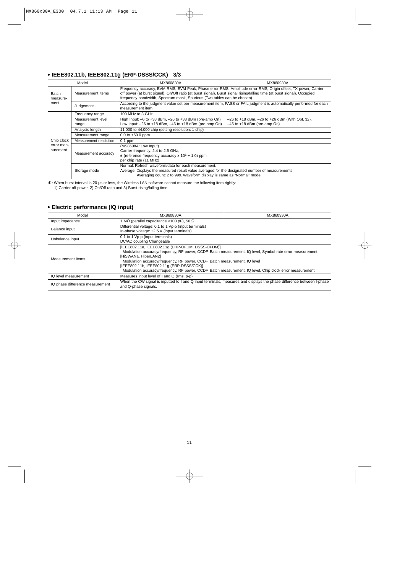## **• IEEE802.11b, IEEE802.11g (ERP-DSSS/CCK) 3/3**

|                           | Model                      | MX860830A                                                                                                                                                                                                                                                                                                             | MX860930A                                                                                 |  |
|---------------------------|----------------------------|-----------------------------------------------------------------------------------------------------------------------------------------------------------------------------------------------------------------------------------------------------------------------------------------------------------------------|-------------------------------------------------------------------------------------------|--|
| Batch<br>measure-<br>ment | Measurement items          | Frequency accuracy, EVM-RMS, EVM-Peak, Phase error-RMS, Amplitude error-RMS, Origin offset, TX-power, Carrier<br>off power (at burst signal), On/Off ratio (at burst signal), Burst signal rising/falling time (at burst signal), Occupied<br>frequency bandwidth, Spectrum mask, Spurious (Two tables can be chosen) |                                                                                           |  |
|                           | Judgement                  | According to the judgment value set per measurement item, PASS or FAIL judgment is automatically performed for each<br>measurement item.                                                                                                                                                                              |                                                                                           |  |
|                           | Frequency range            | 100 MHz to 3 GHz                                                                                                                                                                                                                                                                                                      |                                                                                           |  |
|                           | Measurement level<br>range | High Input: $-6$ to $+38$ dBm, $-26$ to $+38$ dBm (pre-amp On)<br>Low Input: $-26$ to $+18$ dBm, $-46$ to $+18$ dBm (pre-amp On)                                                                                                                                                                                      | $-26$ to $+18$ dBm, $-26$ to $+26$ dBm (With Opt. 32),<br>$-46$ to $+18$ dBm (pre-amp On) |  |
|                           | Analysis length            | 11,000 to 44,000 chip (setting resolution: 1 chip)                                                                                                                                                                                                                                                                    |                                                                                           |  |
|                           | Measurement range          | 0.0 to $\pm 50.0$ ppm                                                                                                                                                                                                                                                                                                 |                                                                                           |  |
| Chip clock                | Measurement resolution     | $0.1$ ppm                                                                                                                                                                                                                                                                                                             |                                                                                           |  |
| error mea-<br>surement    | Measurement accuracy       | (MS8608A: Low Input)<br>Carrier frequency: 2.4 to 2.5 GHz,<br>$\pm$ (reference frequency accuracy x 10 <sup>6</sup> + 1.0) ppm<br>per chip rate (11 MHz).                                                                                                                                                             |                                                                                           |  |
|                           | Storage mode               | Normal: Refresh waveform/data for each measurement.<br>Average: Displays the measured result value averaged for the designated number of measurements.<br>Averaging count: 2 to 999. Waveform display is same as "Normal" mode.                                                                                       |                                                                                           |  |

∗1: When burst interval is 20 µs or less, the Wireless LAN software cannot measure the following item rightly: 1) Carrier off power, 2) On/Off ratio and 3) Burst rising/falling time.

## **• Electric performance (IQ input)**

| Model                                                                                                                                                                            | MX860830A                                                                                                                                                                                                                                                                                                                                                                                                                    | MX860930A |  |
|----------------------------------------------------------------------------------------------------------------------------------------------------------------------------------|------------------------------------------------------------------------------------------------------------------------------------------------------------------------------------------------------------------------------------------------------------------------------------------------------------------------------------------------------------------------------------------------------------------------------|-----------|--|
| Input impedance                                                                                                                                                                  | I MΩ (parallel capacitance <100 pF), 50 Ω                                                                                                                                                                                                                                                                                                                                                                                    |           |  |
| Balance input                                                                                                                                                                    | Differential voltage: 0.1 to 1 Vp-p (input terminals)<br>In-phase voltage: ±2.5 V (input terminals)                                                                                                                                                                                                                                                                                                                          |           |  |
| Unbalance input                                                                                                                                                                  | 0.1 to 1 Vp-p (input terminals)<br>DC/AC coupling Changeable                                                                                                                                                                                                                                                                                                                                                                 |           |  |
| Measurement items                                                                                                                                                                | [IEEE802.11a, IEEE802.11g (ERP-OFDM, DSSS-OFDM)]<br>Modulation accuracy/frequency, RF power, CCDF, Batch measurement, IQ level, Symbol rate error measurement<br>[HiSWANa, HiperLAN2]<br>Modulation accuracy/frequency, RF power, CCDF, Batch measurement, IQ level<br>[IEEE802.11b, IEEE802.11g (ERP-DSSS/CCK)]<br>Modulation accuracy/frequency, RF power, CCDF, Batch measurement, IQ level, Chip clock error measurement |           |  |
| IQ level measurement                                                                                                                                                             | Measures input level of I and Q (rms, p-p)                                                                                                                                                                                                                                                                                                                                                                                   |           |  |
| When the CW signal is inputted to I and Q input terminals, measures and displays the phase difference between I-phase<br>IQ phase difference measurement<br>and Q-phase signals. |                                                                                                                                                                                                                                                                                                                                                                                                                              |           |  |